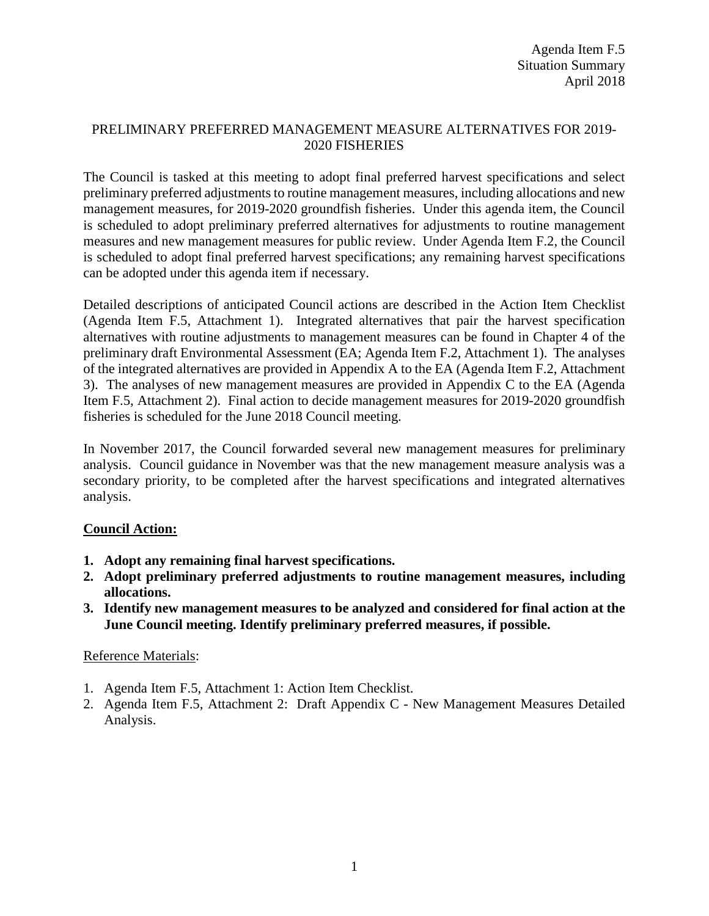## PRELIMINARY PREFERRED MANAGEMENT MEASURE ALTERNATIVES FOR 2019- 2020 FISHERIES

The Council is tasked at this meeting to adopt final preferred harvest specifications and select preliminary preferred adjustments to routine management measures, including allocations and new management measures, for 2019-2020 groundfish fisheries. Under this agenda item, the Council is scheduled to adopt preliminary preferred alternatives for adjustments to routine management measures and new management measures for public review. Under Agenda Item F.2, the Council is scheduled to adopt final preferred harvest specifications; any remaining harvest specifications can be adopted under this agenda item if necessary.

Detailed descriptions of anticipated Council actions are described in the Action Item Checklist (Agenda Item F.5, Attachment 1). Integrated alternatives that pair the harvest specification alternatives with routine adjustments to management measures can be found in Chapter 4 of the preliminary draft Environmental Assessment (EA; Agenda Item F.2, Attachment 1). The analyses of the integrated alternatives are provided in Appendix A to the EA (Agenda Item F.2, Attachment 3). The analyses of new management measures are provided in Appendix C to the EA (Agenda Item F.5, Attachment 2). Final action to decide management measures for 2019-2020 groundfish fisheries is scheduled for the June 2018 Council meeting.

In November 2017, the Council forwarded several new management measures for preliminary analysis. Council guidance in November was that the new management measure analysis was a secondary priority, to be completed after the harvest specifications and integrated alternatives analysis.

## **Council Action:**

- **1. Adopt any remaining final harvest specifications.**
- **2. Adopt preliminary preferred adjustments to routine management measures, including allocations.**
- **3. Identify new management measures to be analyzed and considered for final action at the June Council meeting. Identify preliminary preferred measures, if possible.**

## Reference Materials:

- 1. Agenda Item F.5, Attachment 1: Action Item Checklist.
- 2. Agenda Item F.5, Attachment 2: Draft Appendix C New Management Measures Detailed Analysis.